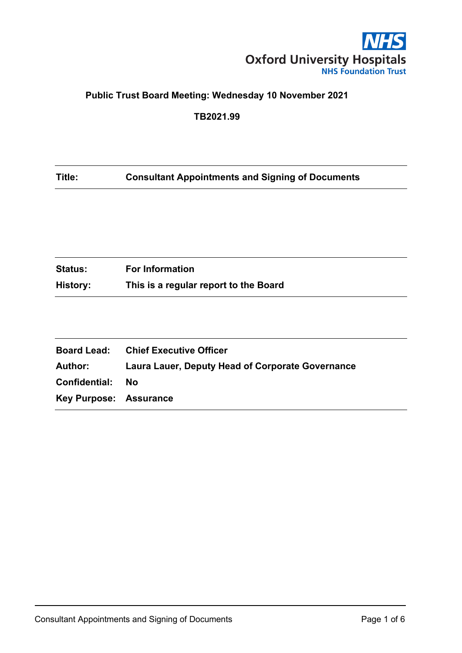

# **Public Trust Board Meeting: Wednesday 10 November 2021**

**TB2021.99**

# **Title: Consultant Appointments and Signing of Documents**

| <b>Status:</b> | <b>For Information</b>                |
|----------------|---------------------------------------|
| History:       | This is a regular report to the Board |

|                               | <b>Board Lead:</b> Chief Executive Officer              |
|-------------------------------|---------------------------------------------------------|
| Author:                       | <b>Laura Lauer, Deputy Head of Corporate Governance</b> |
| Confidential:                 | - No                                                    |
| <b>Key Purpose: Assurance</b> |                                                         |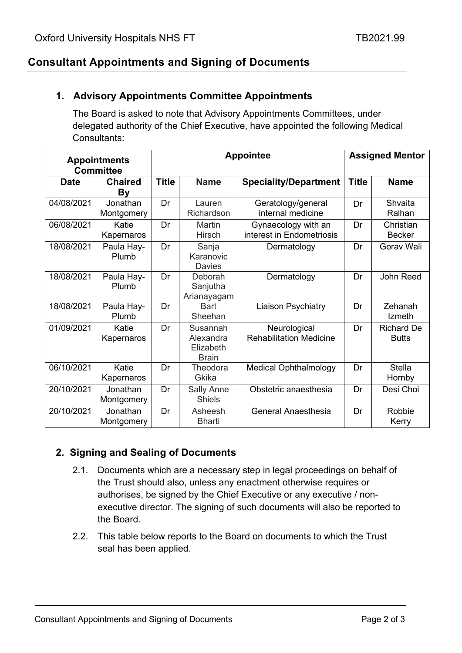## **Consultant Appointments and Signing of Documents**

#### **1. Advisory Appointments Committee Appointments**

The Board is asked to note that Advisory Appointments Committees, under delegated authority of the Chief Executive, have appointed the following Medical Consultants:

| <b>Appointments</b><br><b>Committee</b> |                        | <b>Appointee</b> |                                                    |                                                  | <b>Assigned Mentor</b> |                                   |
|-----------------------------------------|------------------------|------------------|----------------------------------------------------|--------------------------------------------------|------------------------|-----------------------------------|
| <b>Date</b>                             | <b>Chaired</b><br>By   | <b>Title</b>     | <b>Name</b>                                        | <b>Speciality/Department</b>                     | <b>Title</b>           | <b>Name</b>                       |
| 04/08/2021                              | Jonathan<br>Montgomery | Dr               | Lauren<br>Richardson                               | Geratology/general<br>internal medicine          | Dr                     | Shvaita<br>Ralhan                 |
| 06/08/2021                              | Katie<br>Kapernaros    | Dr               | <b>Martin</b><br><b>Hirsch</b>                     | Gynaecology with an<br>interest in Endometriosis | Dr                     | Christian<br><b>Becker</b>        |
| 18/08/2021                              | Paula Hay-<br>Plumb    | Dr               | Sanja<br>Karanovic<br><b>Davies</b>                | Dermatology                                      | Dr                     | Gorav Wali                        |
| 18/08/2021                              | Paula Hay-<br>Plumb    | Dr               | Deborah<br>Sanjutha<br>Arianayagam                 | Dermatology                                      | Dr                     | John Reed                         |
| 18/08/2021                              | Paula Hay-<br>Plumb    | Dr               | <b>Bart</b><br>Sheehan                             | <b>Liaison Psychiatry</b>                        | Dr                     | Zehanah<br><b>Izmeth</b>          |
| 01/09/2021                              | Katie<br>Kapernaros    | Dr               | Susannah<br>Alexandra<br>Elizabeth<br><b>Brain</b> | Neurological<br><b>Rehabilitation Medicine</b>   | Dr                     | <b>Richard De</b><br><b>Butts</b> |
| 06/10/2021                              | Katie<br>Kapernaros    | Dr               | Theodora<br>Gkika                                  | <b>Medical Ophthalmology</b>                     | Dr                     | <b>Stella</b><br>Hornby           |
| 20/10/2021                              | Jonathan<br>Montgomery | Dr               | Sally Anne<br><b>Shiels</b>                        | Obstetric anaesthesia                            | Dr                     | Desi Choi                         |
| 20/10/2021                              | Jonathan<br>Montgomery | Dr               | Asheesh<br>Bharti                                  | General Anaesthesia                              | Dr                     | Robbie<br>Kerry                   |

#### **2. Signing and Sealing of Documents**

- 2.1. Documents which are a necessary step in legal proceedings on behalf of the Trust should also, unless any enactment otherwise requires or authorises, be signed by the Chief Executive or any executive / nonexecutive director. The signing of such documents will also be reported to the Board.
- 2.2. This table below reports to the Board on documents to which the Trust seal has been applied.